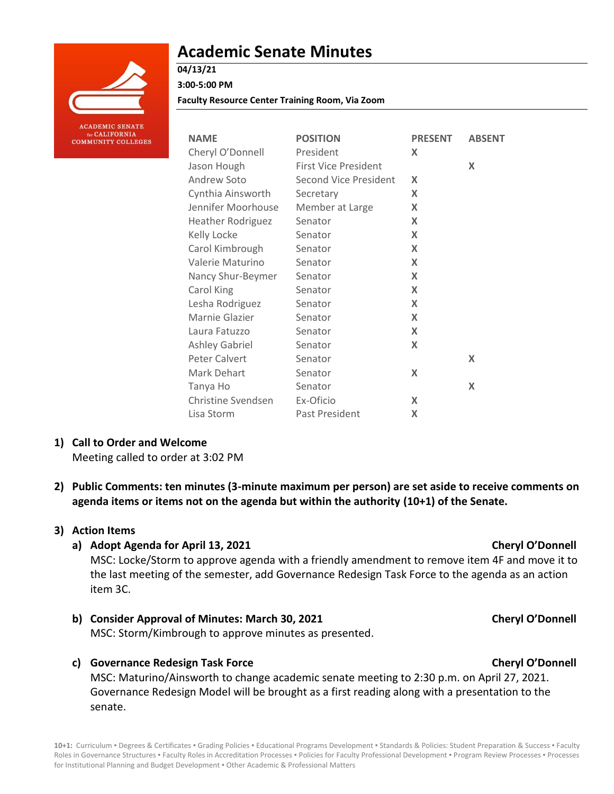

# **Academic Senate Minutes**

# **04/13/21**

**3:00-5:00 PM**

**Faculty Resource Center Training Room, Via Zoom**

| <b>NAME</b>              | <b>POSITION</b>              | <b>PRESENT</b>            | <b>ABSENT</b> |
|--------------------------|------------------------------|---------------------------|---------------|
| Cheryl O'Donnell         | President                    | X                         |               |
| Jason Hough              | <b>First Vice President</b>  |                           | X             |
| Andrew Soto              | <b>Second Vice President</b> | X                         |               |
| Cynthia Ainsworth        | Secretary                    | X                         |               |
| Jennifer Moorhouse       | Member at Large              | X                         |               |
| <b>Heather Rodriguez</b> | Senator                      | X                         |               |
| Kelly Locke              | Senator                      | X                         |               |
| Carol Kimbrough          | Senator                      | X                         |               |
| Valerie Maturino         | Senator                      | X                         |               |
| Nancy Shur-Beymer        | Senator                      | X                         |               |
| Carol King               | Senator                      | $\boldsymbol{\mathsf{x}}$ |               |
| Lesha Rodriguez          | Senator                      | X                         |               |
| Marnie Glazier           | Senator                      | X                         |               |
| Laura Fatuzzo            | Senator                      | X                         |               |
| <b>Ashley Gabriel</b>    | Senator                      | X                         |               |
| Peter Calvert            | Senator                      |                           | X             |
| Mark Dehart              | Senator                      | X                         |               |
| Tanya Ho                 | Senator                      |                           | X             |
| Christine Svendsen       | Ex-Oficio                    | X                         |               |
| Lisa Storm               | Past President               | X                         |               |

# **1) Call to Order and Welcome**

Meeting called to order at 3:02 PM

**2) Public Comments: ten minutes (3-minute maximum per person) are set aside to receive comments on agenda items or items not on the agenda but within the authority (10+1) of the Senate.**

# **3) Action Items**

# **a) Adopt Agenda for April 13, 2021 Cheryl O'Donnell**

MSC: Locke/Storm to approve agenda with a friendly amendment to remove item 4F and move it to the last meeting of the semester, add Governance Redesign Task Force to the agenda as an action item 3C.

- **b) Consider Approval of Minutes: March 30, 2021 Cheryl O'Donnell** MSC: Storm/Kimbrough to approve minutes as presented.
- **c) Governance Redesign Task Force Cheryl O'Donnell**

MSC: Maturino/Ainsworth to change academic senate meeting to 2:30 p.m. on April 27, 2021. Governance Redesign Model will be brought as a first reading along with a presentation to the senate.

10+1: Curriculum · Degrees & Certificates · Grading Policies · Educational Programs Development · Standards & Policies: Student Preparation & Success · Faculty Roles in Governance Structures . Faculty Roles in Accreditation Processes . Policies for Faculty Professional Development . Program Review Processes . Processes for Institutional Planning and Budget Development . Other Academic & Professional Matters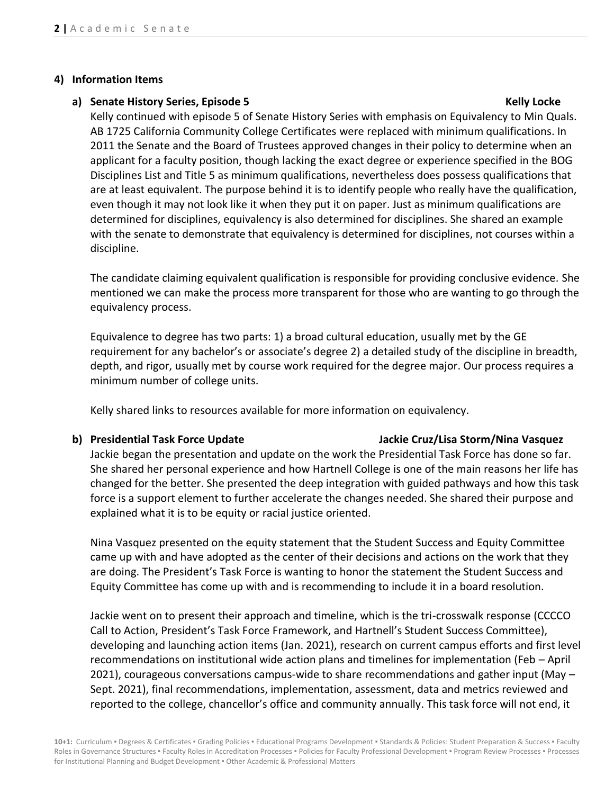### **4) Information Items**

### **a) Senate History Series, Episode 5 Kelly Locke**

Kelly continued with episode 5 of Senate History Series with emphasis on Equivalency to Min Quals. AB 1725 California Community College Certificates were replaced with minimum qualifications. In 2011 the Senate and the Board of Trustees approved changes in their policy to determine when an applicant for a faculty position, though lacking the exact degree or experience specified in the BOG Disciplines List and Title 5 as minimum qualifications, nevertheless does possess qualifications that are at least equivalent. The purpose behind it is to identify people who really have the qualification, even though it may not look like it when they put it on paper. Just as minimum qualifications are determined for disciplines, equivalency is also determined for disciplines. She shared an example with the senate to demonstrate that equivalency is determined for disciplines, not courses within a discipline.

The candidate claiming equivalent qualification is responsible for providing conclusive evidence. She mentioned we can make the process more transparent for those who are wanting to go through the equivalency process.

Equivalence to degree has two parts: 1) a broad cultural education, usually met by the GE requirement for any bachelor's or associate's degree 2) a detailed study of the discipline in breadth, depth, and rigor, usually met by course work required for the degree major. Our process requires a minimum number of college units.

Kelly shared links to resources available for more information on equivalency.

### **b) Presidential Task Force Update Jackie Cruz/Lisa Storm/Nina Vasquez**

Jackie began the presentation and update on the work the Presidential Task Force has done so far. She shared her personal experience and how Hartnell College is one of the main reasons her life has changed for the better. She presented the deep integration with guided pathways and how this task force is a support element to further accelerate the changes needed. She shared their purpose and explained what it is to be equity or racial justice oriented.

Nina Vasquez presented on the equity statement that the Student Success and Equity Committee came up with and have adopted as the center of their decisions and actions on the work that they are doing. The President's Task Force is wanting to honor the statement the Student Success and Equity Committee has come up with and is recommending to include it in a board resolution.

Jackie went on to present their approach and timeline, which is the tri-crosswalk response (CCCCO Call to Action, President's Task Force Framework, and Hartnell's Student Success Committee), developing and launching action items (Jan. 2021), research on current campus efforts and first level recommendations on institutional wide action plans and timelines for implementation (Feb – April 2021), courageous conversations campus-wide to share recommendations and gather input (May – Sept. 2021), final recommendations, implementation, assessment, data and metrics reviewed and reported to the college, chancellor's office and community annually. This task force will not end, it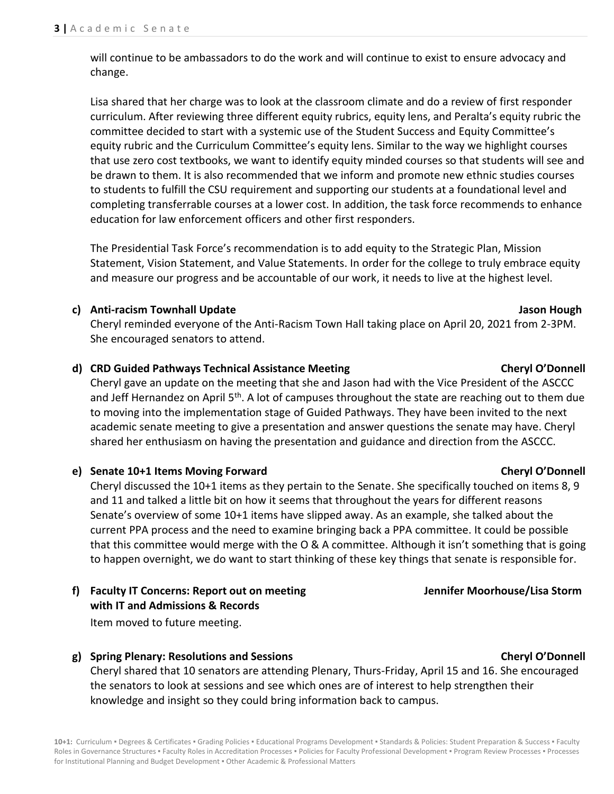will continue to be ambassadors to do the work and will continue to exist to ensure advocacy and change.

Lisa shared that her charge was to look at the classroom climate and do a review of first responder curriculum. After reviewing three different equity rubrics, equity lens, and Peralta's equity rubric the committee decided to start with a systemic use of the Student Success and Equity Committee's equity rubric and the Curriculum Committee's equity lens. Similar to the way we highlight courses that use zero cost textbooks, we want to identify equity minded courses so that students will see and be drawn to them. It is also recommended that we inform and promote new ethnic studies courses to students to fulfill the CSU requirement and supporting our students at a foundational level and completing transferrable courses at a lower cost. In addition, the task force recommends to enhance education for law enforcement officers and other first responders.

The Presidential Task Force's recommendation is to add equity to the Strategic Plan, Mission Statement, Vision Statement, and Value Statements. In order for the college to truly embrace equity and measure our progress and be accountable of our work, it needs to live at the highest level.

### **c) Anti-racism Townhall Update Jason Hough**

Cheryl reminded everyone of the Anti-Racism Town Hall taking place on April 20, 2021 from 2-3PM. She encouraged senators to attend.

## **d) CRD Guided Pathways Technical Assistance Meeting Cheryl O'Donnell**

Cheryl gave an update on the meeting that she and Jason had with the Vice President of the ASCCC and Jeff Hernandez on April  $5<sup>th</sup>$ . A lot of campuses throughout the state are reaching out to them due to moving into the implementation stage of Guided Pathways. They have been invited to the next academic senate meeting to give a presentation and answer questions the senate may have. Cheryl shared her enthusiasm on having the presentation and guidance and direction from the ASCCC.

# **e) Senate 10+1 Items Moving Forward Cheryl O'Donnell**

Cheryl discussed the 10+1 items as they pertain to the Senate. She specifically touched on items 8, 9 and 11 and talked a little bit on how it seems that throughout the years for different reasons Senate's overview of some 10+1 items have slipped away. As an example, she talked about the current PPA process and the need to examine bringing back a PPA committee. It could be possible that this committee would merge with the O & A committee. Although it isn't something that is going to happen overnight, we do want to start thinking of these key things that senate is responsible for.

**f) Faculty IT Concerns: Report out on meeting Jennifer Moorhouse/Lisa Storm with IT and Admissions & Records**

Item moved to future meeting.

# **g) Spring Plenary: Resolutions and Sessions Cheryl O'Donnell**

Cheryl shared that 10 senators are attending Plenary, Thurs-Friday, April 15 and 16. She encouraged the senators to look at sessions and see which ones are of interest to help strengthen their knowledge and insight so they could bring information back to campus.